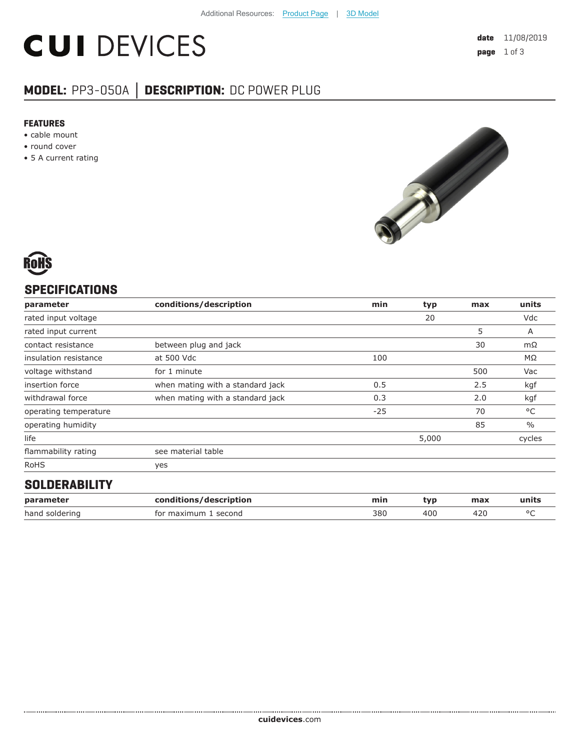# **CUI DEVICES**

## **MODEL:** PP3-050A **│ DESCRIPTION:** DC POWER PLUG

#### **FEATURES**

- cable mount
- round cover
- 5 A current rating



# **SPECIFICATIONS**

| parameter             | conditions/description           | min   | typ   | max | units         |
|-----------------------|----------------------------------|-------|-------|-----|---------------|
| rated input voltage   |                                  |       | 20    |     | Vdc           |
| rated input current   |                                  |       |       | 5   | Α             |
| contact resistance    | between plug and jack            |       |       | 30  | $m\Omega$     |
| insulation resistance | at 500 Vdc                       | 100   |       |     | MΩ            |
| voltage withstand     | for 1 minute                     |       |       | 500 | Vac           |
| insertion force       | when mating with a standard jack | 0.5   |       | 2.5 | kgf           |
| withdrawal force      | when mating with a standard jack | 0.3   |       | 2.0 | kgf           |
| operating temperature |                                  | $-25$ |       | 70  | °C            |
| operating humidity    |                                  |       |       | 85  | $\frac{0}{0}$ |
| life                  |                                  |       | 5,000 |     | cycles        |
| flammability rating   | see material table               |       |       |     |               |
| <b>RoHS</b>           | yes                              |       |       |     |               |
| __.____._             |                                  |       |       |     |               |

### **SOLDERABILITY**

| parameter      | conditions/description | mir. | tvr | max | units |
|----------------|------------------------|------|-----|-----|-------|
| hand soldering | for maximum<br>second  | 380  | 40C |     |       |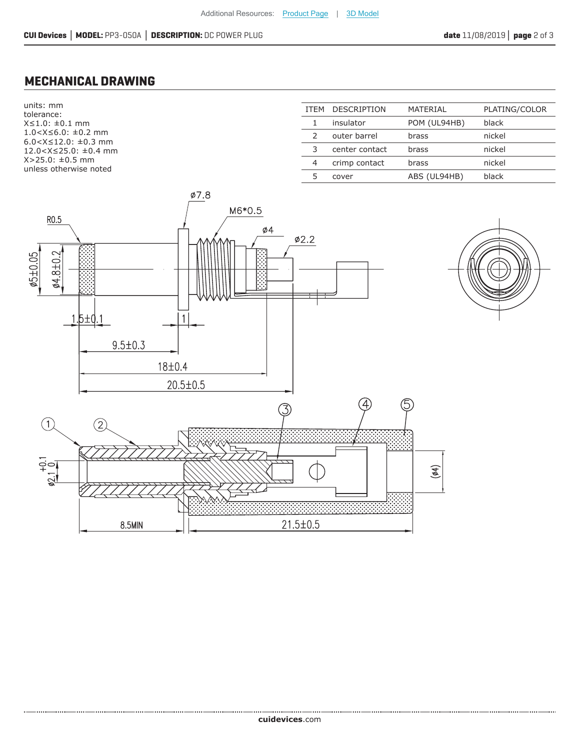### **MECHANICAL DRAWING**

units: mm tolerance: X≤1.0: ±0.1 mm 1.0<X≤6.0: ±0.2 mm 6.0<X≤12.0: ±0.3 mm 12.0<X≤25.0: ±0.4 mm X>25.0: ±0.5 mm unless otherwise noted

| <b>ITFM</b> | <b>DESCRIPTION</b> | MATERIAL     | PLATING/COLOR |
|-------------|--------------------|--------------|---------------|
|             | insulator          | POM (UL94HB) | black         |
|             | outer barrel       | brass        | nickel        |
| 3           | center contact     | brass        | nickel        |
| 4           | crimp contact      | brass        | nickel        |
| 5.          | cover              | ABS (UL94HB) | black         |
|             |                    |              |               |